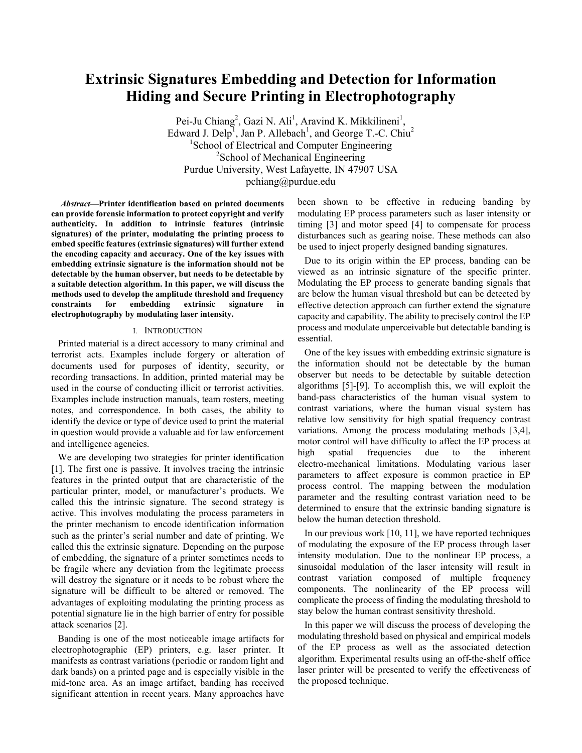# **Extrinsic Signatures Embedding and Detection for Information Hiding and Secure Printing in Electrophotography**

Pei-Ju Chiang<sup>2</sup>, Gazi N. Ali<sup>1</sup>, Aravind K. Mikkilineni<sup>1</sup>, Edward J. Delp<sup>1</sup>, Jan P. Allebach<sup>1</sup>, and George T.-C. Chiu<sup>2</sup> <sup>1</sup>School of Electrical and Computer Engineering <sup>2</sup>School of Mechanical Engineering Purdue University, West Lafayette, IN 47907 USA pchiang@purdue.edu

*Abstract***—Printer identification based on printed documents can provide forensic information to protect copyright and verify authenticity. In addition to intrinsic features (intrinsic signatures) of the printer, modulating the printing process to embed specific features (extrinsic signatures) will further extend the encoding capacity and accuracy. One of the key issues with embedding extrinsic signature is the information should not be detectable by the human observer, but needs to be detectable by a suitable detection algorithm. In this paper, we will discuss the methods used to develop the amplitude threshold and frequency constraints for embedding extrinsic signature in electrophotography by modulating laser intensity.** 

#### I. INTRODUCTION

Printed material is a direct accessory to many criminal and terrorist acts. Examples include forgery or alteration of documents used for purposes of identity, security, or recording transactions. In addition, printed material may be used in the course of conducting illicit or terrorist activities. Examples include instruction manuals, team rosters, meeting notes, and correspondence. In both cases, the ability to identify the device or type of device used to print the material in question would provide a valuable aid for law enforcement and intelligence agencies.

We are developing two strategies for printer identification [1]. The first one is passive. It involves tracing the intrinsic features in the printed output that are characteristic of the particular printer, model, or manufacturer's products. We called this the intrinsic signature. The second strategy is active. This involves modulating the process parameters in the printer mechanism to encode identification information such as the printer's serial number and date of printing. We called this the extrinsic signature. Depending on the purpose of embedding, the signature of a printer sometimes needs to be fragile where any deviation from the legitimate process will destroy the signature or it needs to be robust where the signature will be difficult to be altered or removed. The advantages of exploiting modulating the printing process as potential signature lie in the high barrier of entry for possible attack scenarios [2].

Banding is one of the most noticeable image artifacts for electrophotographic (EP) printers, e.g. laser printer. It manifests as contrast variations (periodic or random light and dark bands) on a printed page and is especially visible in the mid-tone area. As an image artifact, banding has received significant attention in recent years. Many approaches have

been shown to be effective in reducing banding by modulating EP process parameters such as laser intensity or timing [3] and motor speed [4] to compensate for process disturbances such as gearing noise. These methods can also be used to inject properly designed banding signatures.

Due to its origin within the EP process, banding can be viewed as an intrinsic signature of the specific printer. Modulating the EP process to generate banding signals that are below the human visual threshold but can be detected by effective detection approach can further extend the signature capacity and capability. The ability to precisely control the EP process and modulate unperceivable but detectable banding is essential.

One of the key issues with embedding extrinsic signature is the information should not be detectable by the human observer but needs to be detectable by suitable detection algorithms [5]-[9]. To accomplish this, we will exploit the band-pass characteristics of the human visual system to contrast variations, where the human visual system has relative low sensitivity for high spatial frequency contrast variations. Among the process modulating methods [3,4], motor control will have difficulty to affect the EP process at high spatial frequencies due to the inherent electro-mechanical limitations. Modulating various laser parameters to affect exposure is common practice in EP process control. The mapping between the modulation parameter and the resulting contrast variation need to be determined to ensure that the extrinsic banding signature is below the human detection threshold.

In our previous work [10, 11], we have reported techniques of modulating the exposure of the EP process through laser intensity modulation. Due to the nonlinear EP process, a sinusoidal modulation of the laser intensity will result in contrast variation composed of multiple frequency components. The nonlinearity of the EP process will complicate the process of finding the modulating threshold to stay below the human contrast sensitivity threshold.

In this paper we will discuss the process of developing the modulating threshold based on physical and empirical models of the EP process as well as the associated detection algorithm. Experimental results using an off-the-shelf office laser printer will be presented to verify the effectiveness of the proposed technique.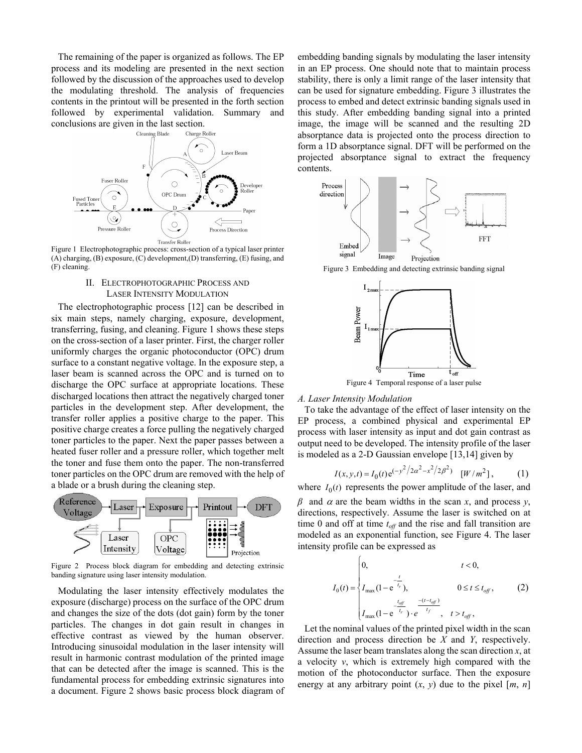The remaining of the paper is organized as follows. The EP process and its modeling are presented in the next section followed by the discussion of the approaches used to develop the modulating threshold. The analysis of frequencies contents in the printout will be presented in the forth section followed by experimental validation. Summary and conclusions are given in the last section.



Figure 1 Electrophotographic process: cross-section of a typical laser printer (A) charging, (B) exposure, (C) development,(D) transferring, (E) fusing, and (F) cleaning.

# II. ELECTROPHOTOGRAPHIC PROCESS AND LASER INTENSITY MODULATION

The electrophotographic process [12] can be described in six main steps, namely charging, exposure, development, transferring, fusing, and cleaning. Figure 1 shows these steps on the cross-section of a laser printer. First, the charger roller uniformly charges the organic photoconductor (OPC) drum surface to a constant negative voltage. In the exposure step, a laser beam is scanned across the OPC and is turned on to discharge the OPC surface at appropriate locations. These discharged locations then attract the negatively charged toner particles in the development step. After development, the transfer roller applies a positive charge to the paper. This positive charge creates a force pulling the negatively charged toner particles to the paper. Next the paper passes between a heated fuser roller and a pressure roller, which together melt the toner and fuse them onto the paper. The non-transferred toner particles on the OPC drum are removed with the help of a blade or a brush during the cleaning step.



Figure 2 Process block diagram for embedding and detecting extrinsic banding signature using laser intensity modulation.

Modulating the laser intensity effectively modulates the exposure (discharge) process on the surface of the OPC drum and changes the size of the dots (dot gain) form by the toner particles. The changes in dot gain result in changes in effective contrast as viewed by the human observer. Introducing sinusoidal modulation in the laser intensity will result in harmonic contrast modulation of the printed image that can be detected after the image is scanned. This is the fundamental process for embedding extrinsic signatures into a document. Figure 2 shows basic process block diagram of embedding banding signals by modulating the laser intensity in an EP process. One should note that to maintain process stability, there is only a limit range of the laser intensity that can be used for signature embedding. Figure 3 illustrates the process to embed and detect extrinsic banding signals used in this study. After embedding banding signal into a printed image, the image will be scanned and the resulting 2D absorptance data is projected onto the process direction to form a 1D absorptance signal. DFT will be performed on the projected absorptance signal to extract the frequency contents.



Figure 3 Embedding and detecting extrinsic banding signal



*A. Laser Intensity Modulation* 

To take the advantage of the effect of laser intensity on the EP process, a combined physical and experimental EP process with laser intensity as input and dot gain contrast as output need to be developed. The intensity profile of the laser is modeled as a 2-D Gaussian envelope [13,14] given by

$$
I(x, y, t) = I_0(t) e^{(-y^2/2\alpha^2 - x^2/2\beta^2)} \quad [W/m^2],
$$
 (1)

where  $I_0(t)$  represents the power amplitude of the laser, and

 $β$  and  $α$  are the beam widths in the scan *x*, and process *y*, directions, respectively. Assume the laser is switched on at time 0 and off at time  $t_{off}$  and the rise and fall transition are modeled as an exponential function, see Figure 4. The laser intensity profile can be expressed as

$$
I_0(t) = \begin{cases} 0, & t < 0, \\ I_{\max}(1 - e^{-\frac{t}{t_r}}), & 0 \le t \le t_{off}, \\ I_{\max}(1 - e^{-\frac{t_{off}}{t_r}}) \cdot e^{-\frac{-(t - t_{off})}{t_f}}, & t > t_{off}, \end{cases}
$$
 (2)

Let the nominal values of the printed pixel width in the scan direction and process direction be *X* and *Y*, respectively. Assume the laser beam translates along the scan direction *x*, at a velocity *v*, which is extremely high compared with the motion of the photoconductor surface. Then the exposure energy at any arbitrary point  $(x, y)$  due to the pixel  $[m, n]$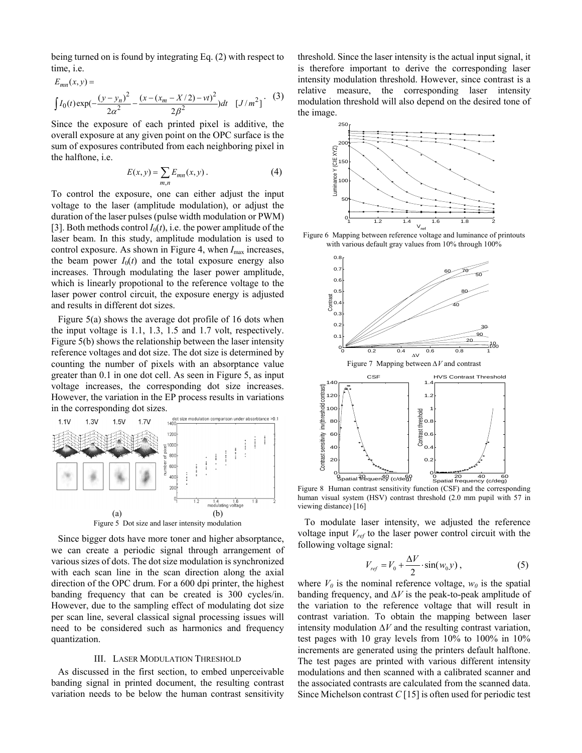being turned on is found by integrating Eq. (2) with respect to time, i.e.

 $E = \sqrt{2}$ 

$$
E_{mn}(x, y) =
$$
\n
$$
\int I_0(t) \exp(-\frac{(y - y_n)^2}{2\alpha^2} - \frac{(x - (x_m - X/2) - vt)^2}{2\beta^2}) dt \quad [J/m^2] \tag{3}
$$

Since the exposure of each printed pixel is additive, the overall exposure at any given point on the OPC surface is the sum of exposures contributed from each neighboring pixel in the halftone, i.e.

$$
E(x, y) = \sum_{m,n} E_{mn}(x, y).
$$
 (4)

To control the exposure, one can either adjust the input voltage to the laser (amplitude modulation), or adjust the duration of the laser pulses (pulse width modulation or PWM) [3]. Both methods control  $I_0(t)$ , i.e. the power amplitude of the laser beam. In this study, amplitude modulation is used to control exposure. As shown in Figure 4, when  $I_{\text{max}}$  increases, the beam power  $I_0(t)$  and the total exposure energy also increases. Through modulating the laser power amplitude, which is linearly propotional to the reference voltage to the laser power control circuit, the exposure energy is adjusted and results in different dot sizes.

Figure 5(a) shows the average dot profile of 16 dots when the input voltage is 1.1, 1.3, 1.5 and 1.7 volt, respectively. Figure 5(b) shows the relationship between the laser intensity reference voltages and dot size. The dot size is determined by counting the number of pixels with an absorptance value greater than 0.1 in one dot cell. As seen in Figure 5, as input voltage increases, the corresponding dot size increases. However, the variation in the EP process results in variations



Since bigger dots have more toner and higher absorptance, we can create a periodic signal through arrangement of various sizes of dots. The dot size modulation is synchronized with each scan line in the scan direction along the axial direction of the OPC drum. For a 600 dpi printer, the highest banding frequency that can be created is 300 cycles/in. However, due to the sampling effect of modulating dot size per scan line, several classical signal processing issues will need to be considered such as harmonics and frequency quantization.

#### III. LASER MODULATION THRESHOLD

As discussed in the first section, to embed unperceivable banding signal in printed document, the resulting contrast variation needs to be below the human contrast sensitivity

threshold. Since the laser intensity is the actual input signal, it is therefore important to derive the corresponding laser intensity modulation threshold. However, since contrast is a relative measure, the corresponding laser intensity modulation threshold will also depend on the desired tone of the image.



Figure 6 Mapping between reference voltage and luminance of printouts with various default gray values from 10% through 100%



Figure 8 Human contrast sensitivity function (CSF) and the corresponding human visual system (HSV) contrast threshold (2.0 mm pupil with 57 in viewing distance) [16]

To modulate laser intensity, we adjusted the reference voltage input *Vref* to the laser power control circuit with the following voltage signal:

$$
V_{ref} = V_0 + \frac{\Delta V}{2} \cdot \sin(w_0 y) , \qquad (5)
$$

where  $V_0$  is the nominal reference voltage,  $w_0$  is the spatial banding frequency, and ∆*V* is the peak-to-peak amplitude of the variation to the reference voltage that will result in contrast variation. To obtain the mapping between laser intensity modulation ∆*V* and the resulting contrast variation, test pages with 10 gray levels from 10% to 100% in 10% increments are generated using the printers default halftone. The test pages are printed with various different intensity modulations and then scanned with a calibrated scanner and the associated contrasts are calculated from the scanned data. Since Michelson contrast *C* [15] is often used for periodic test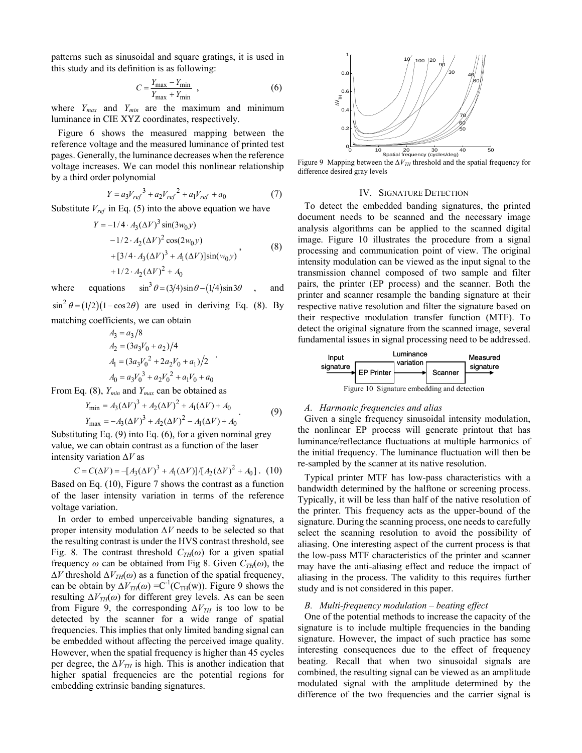patterns such as sinusoidal and square gratings, it is used in this study and its definition is as following:

$$
C = \frac{Y_{\text{max}} - Y_{\text{min}}}{Y_{\text{max}} + Y_{\text{min}}},
$$
\n(6)

where  $Y_{max}$  and  $Y_{min}$  are the maximum and minimum luminance in CIE XYZ coordinates, respectively.

Figure 6 shows the measured mapping between the reference voltage and the measured luminance of printed test pages. Generally, the luminance decreases when the reference voltage increases. We can model this nonlinear relationship by a third order polynomial

$$
Y = a_3 V_{ref}^3 + a_2 V_{ref}^2 + a_1 V_{ref} + a_0 \tag{7}
$$

Substitute  $V_{ref}$  in Eq. (5) into the above equation we have

$$
Y = -1/4 \cdot A_3 (\Delta V)^3 \sin(3w_0 y)
$$
  
-1/2 \cdot A\_2 (\Delta V)^2 \cos(2w\_0 y)  
+ [3/4 \cdot A\_3 (\Delta V)^3 + A\_1 (\Delta V)] \sin(w\_0 y)  
+1/2 \cdot A\_2 (\Delta V)^2 + A\_0 (8)

where equations  $\sin^3 \theta = (3/4) \sin \theta - (1/4) \sin 3\theta$ , and

 $\sin^2 \theta = (1/2)(1 - \cos 2\theta)$  are used in deriving Eq. (8). By matching coefficients, we can obtain

$$
A_3 = a_3/8
$$
  
\n
$$
A_2 = (3a_3V_0 + a_2)/4
$$
  
\n
$$
A_1 = (3a_3V_0^2 + 2a_2V_0 + a_1)/2
$$
  
\n
$$
A_0 = a_3V_0^3 + a_2V_0^2 + a_1V_0 + a_0
$$

From Eq. (8), *Ymin* and *Ymax* can be obtained as

$$
Y_{\min} = A_3 (\Delta V)^3 + A_2 (\Delta V)^2 + A_1 (\Delta V) + A_0
$$
  
\n
$$
Y_{\max} = -A_3 (\Delta V)^3 + A_2 (\Delta V)^2 - A_1 (\Delta V) + A_0
$$
\n(9)

Substituting Eq. (9) into Eq. (6), for a given nominal grey value, we can obtain contrast as a function of the laser intensity variation ∆*V* as

 $C = C(\Delta V) = -[A_3(\Delta V)^3 + A_1(\Delta V)]/[A_2(\Delta V)^2 + A_0]$ . (10) Based on Eq. (10), Figure 7 shows the contrast as a function of the laser intensity variation in terms of the reference voltage variation.

In order to embed unperceivable banding signatures, a proper intensity modulation *∆V* needs to be selected so that the resulting contrast is under the HVS contrast threshold, see Fig. 8. The contrast threshold  $C_{TH}(\omega)$  for a given spatial frequency  $\omega$  can be obtained from Fig 8. Given  $C_{TH}(\omega)$ , the  $\Delta V$  threshold  $\Delta V_{TH}(\omega)$  as a function of the spatial frequency, can be obtain by  $\Delta V_{TH}(\omega) = C^{-1}(C_{TH}(w))$ . Figure 9 shows the resulting  $\Delta V_{TH}(\omega)$  for different grey levels. As can be seen from Figure 9, the corresponding  $\Delta V_{TH}$  is too low to be detected by the scanner for a wide range of spatial frequencies. This implies that only limited banding signal can be embedded without affecting the perceived image quality. However, when the spatial frequency is higher than 45 cycles per degree, the  $\Delta V_{TH}$  is high. This is another indication that higher spatial frequencies are the potential regions for embedding extrinsic banding signatures.



Figure 9 Mapping between the  $\Delta V_{TH}$  threshold and the spatial frequency for difference desired gray levels

## IV. SIGNATURE DETECTION

To detect the embedded banding signatures, the printed document needs to be scanned and the necessary image analysis algorithms can be applied to the scanned digital image. Figure 10 illustrates the procedure from a signal processing and communication point of view. The original intensity modulation can be viewed as the input signal to the transmission channel composed of two sample and filter pairs, the printer (EP process) and the scanner. Both the printer and scanner resample the banding signature at their respective native resolution and filter the signature based on their respective modulation transfer function (MTF). To detect the original signature from the scanned image, several fundamental issues in signal processing need to be addressed.



## *A. Harmonic frequencies and alias*

Given a single frequency sinusoidal intensity modulation, the nonlinear EP process will generate printout that has luminance/reflectance fluctuations at multiple harmonics of the initial frequency. The luminance fluctuation will then be re-sampled by the scanner at its native resolution.

Typical printer MTF has low-pass characteristics with a bandwidth determined by the halftone or screening process. Typically, it will be less than half of the native resolution of the printer. This frequency acts as the upper-bound of the signature. During the scanning process, one needs to carefully select the scanning resolution to avoid the possibility of aliasing. One interesting aspect of the current process is that the low-pass MTF characteristics of the printer and scanner may have the anti-aliasing effect and reduce the impact of aliasing in the process. The validity to this requires further study and is not considered in this paper.

#### *B. Multi-frequency modulation – beating effect*

One of the potential methods to increase the capacity of the signature is to include multiple frequencies in the banding signature. However, the impact of such practice has some interesting consequences due to the effect of frequency beating. Recall that when two sinusoidal signals are combined, the resulting signal can be viewed as an amplitude modulated signal with the amplitude determined by the difference of the two frequencies and the carrier signal is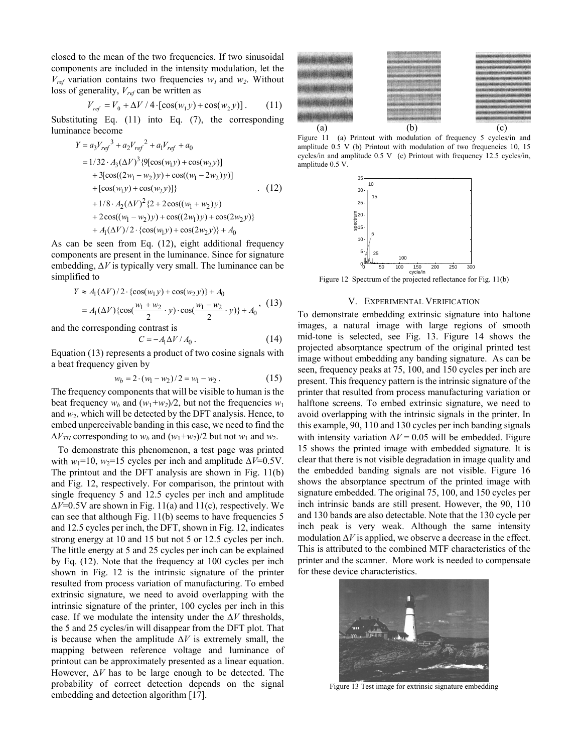closed to the mean of the two frequencies. If two sinusoidal components are included in the intensity modulation, let the  $V_{ref}$  variation contains two frequencies  $w_l$  and  $w_2$ . Without loss of generality, *Vref* can be written as

$$
V_{ref} = V_0 + \Delta V / 4 \cdot [\cos(w_1 y) + \cos(w_2 y)].
$$
 (11)

Substituting Eq. (11) into Eq. (7), the corresponding luminance become

$$
Y = a_3 V_{ref}^3 + a_2 V_{ref}^2 + a_1 V_{ref} + a_0
$$
  
= 1/32 · A<sub>3</sub>(\Delta V)<sup>3</sup> {9[cos(w<sub>1</sub>y) + cos(w<sub>2</sub>y)]  
+ 3[cos((2w<sub>1</sub> - w<sub>2</sub>)y) + cos((w<sub>1</sub> - 2w<sub>2</sub>)y)]  
+ [cos(w<sub>1</sub>y) + cos(w<sub>2</sub>y)]} (12)  
+ 1/8 · A<sub>2</sub>(\Delta V)<sup>2</sup> {2 + 2cos((w<sub>1</sub> + w<sub>2</sub>)y)  
+ 2cos((w<sub>1</sub> - w<sub>2</sub>)y) + cos((2w<sub>1</sub>)y) + cos(2w<sub>2</sub>y)}  
+ A<sub>1</sub>(\Delta V)/2 · {cos(w<sub>1</sub>y) + cos(2w<sub>2</sub>y)} + A<sub>0</sub>

As can be seen from Eq. (12), eight additional frequency components are present in the luminance. Since for signature embedding, ∆*V* is typically very small. The luminance can be simplified to

$$
Y \approx A_1(\Delta V)/2 \cdot {\cos(w_1 y) + \cos(w_2 y)} + A_0
$$
  
=  $A_1(\Delta V) {\cos(\frac{w_1 + w_2}{2} \cdot y) \cdot \cos(\frac{w_1 - w_2}{2} \cdot y)} + A_0$ , (13)

and the corresponding contrast is

$$
C = -A_1 \Delta V / A_0 \,. \tag{14}
$$

Equation (13) represents a product of two cosine signals with a beat frequency given by

$$
w_b = 2 \cdot (w_1 - w_2)/2 = w_1 - w_2. \tag{15}
$$

The frequency components that will be visible to human is the beat frequency  $w_b$  and  $(w_1+w_2)/2$ , but not the frequencies  $w_1$ and  $w_2$ , which will be detected by the DFT analysis. Hence, to embed unperceivable banding in this case, we need to find the  $\Delta V_{TH}$  corresponding to  $w_b$  and  $(w_1+w_2)/2$  but not  $w_1$  and  $w_2$ .

To demonstrate this phenomenon, a test page was printed with *w*<sub>1</sub>=10, *w*<sub>2</sub>=15 cycles per inch and amplitude  $\Delta V$ =0.5V. The printout and the DFT analysis are shown in Fig. 11(b) and Fig. 12, respectively. For comparison, the printout with single frequency 5 and 12.5 cycles per inch and amplitude ∆*V*=0.5V are shown in Fig. 11(a) and 11(c), respectively. We can see that although Fig. 11(b) seems to have frequencies 5 and 12.5 cycles per inch, the DFT, shown in Fig. 12, indicates strong energy at 10 and 15 but not 5 or 12.5 cycles per inch. The little energy at 5 and 25 cycles per inch can be explained by Eq. (12). Note that the frequency at 100 cycles per inch shown in Fig. 12 is the intrinsic signature of the printer resulted from process variation of manufacturing. To embed extrinsic signature, we need to avoid overlapping with the intrinsic signature of the printer, 100 cycles per inch in this case. If we modulate the intensity under the ∆*V* thresholds, the 5 and 25 cycles/in will disappear from the DFT plot. That is because when the amplitude ∆*V* is extremely small, the mapping between reference voltage and luminance of printout can be approximately presented as a linear equation. However, ∆*V* has to be large enough to be detected. The probability of correct detection depends on the signal embedding and detection algorithm [17].



Figure 11 (a) Printout with modulation of frequency 5 cycles/in and amplitude 0.5 V (b) Printout with modulation of two frequencies 10, 15 cycles/in and amplitude 0.5 V (c) Printout with frequency 12.5 cycles/in, amplitude 0.5 V.



Figure 12 Spectrum of the projected reflectance for Fig. 11(b)

## V. EXPERIMENTAL VERIFICATION

To demonstrate embedding extrinsic signature into haltone images, a natural image with large regions of smooth mid-tone is selected, see Fig. 13. Figure 14 shows the projected absorptance spectrum of the original printed test image without embedding any banding signature. As can be seen, frequency peaks at 75, 100, and 150 cycles per inch are present. This frequency pattern is the intrinsic signature of the printer that resulted from process manufacturing variation or halftone screens. To embed extrinsic signature, we need to avoid overlapping with the intrinsic signals in the printer. In this example, 90, 110 and 130 cycles per inch banding signals with intensity variation  $\Delta V = 0.05$  will be embedded. Figure 15 shows the printed image with embedded signature. It is clear that there is not visible degradation in image quality and the embedded banding signals are not visible. Figure 16 shows the absorptance spectrum of the printed image with signature embedded. The original 75, 100, and 150 cycles per inch intrinsic bands are still present. However, the 90, 110 and 130 bands are also detectable. Note that the 130 cycle per inch peak is very weak. Although the same intensity modulation ∆*V* is applied, we observe a decrease in the effect. This is attributed to the combined MTF characteristics of the printer and the scanner. More work is needed to compensate for these device characteristics.



Figure 13 Test image for extrinsic signature embedding